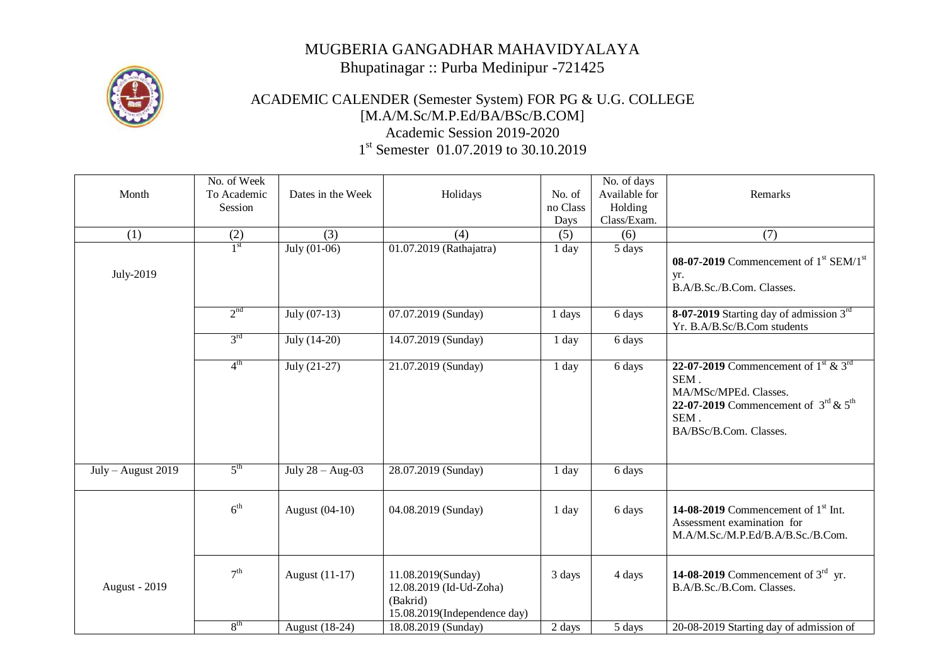## MUGBERIA GANGADHAR MAHAVIDYALAYA Bhupatinagar :: Purba Medinipur -721425



## ACADEMIC CALENDER (Semester System) FOR PG & U.G. COLLEGE [M.A/M.Sc/M.P.Ed/BA/BSc/B.COM] Academic Session 2019-2020 1<sup>st</sup> Semester 01.07.2019 to 30.10.2019

| Month                | No. of Week<br>To Academic<br>Session | Dates in the Week  | Holidays                                                                                  | No. of<br>no Class<br>Days | No. of days<br>Available for<br>Holding<br>Class/Exam. | Remarks                                                                                                                                                                                         |
|----------------------|---------------------------------------|--------------------|-------------------------------------------------------------------------------------------|----------------------------|--------------------------------------------------------|-------------------------------------------------------------------------------------------------------------------------------------------------------------------------------------------------|
| (1)                  | (2)                                   | (3)                | (4)                                                                                       | (5)                        | (6)                                                    | (7)                                                                                                                                                                                             |
| July-2019            | 1 <sup>st</sup>                       | July $(01-06)$     | 01.07.2019 (Rathajatra)                                                                   | 1 day                      | 5 days                                                 | 08-07-2019 Commencement of $1st$ SEM/ $1st$<br>yr.<br>B.A/B.Sc./B.Com. Classes.                                                                                                                 |
|                      | 2 <sup>nd</sup>                       | July $(07-13)$     | 07.07.2019 (Sunday)                                                                       | 1 days                     | 6 days                                                 | 8-07-2019 Starting day of admission $3rd$<br>Yr. B.A/B.Sc/B.Com students                                                                                                                        |
|                      | $3^{\text{rd}}$                       | July (14-20)       | 14.07.2019 (Sunday)                                                                       | 1 day                      | 6 days                                                 |                                                                                                                                                                                                 |
|                      | $4^{\text{th}}$                       | $July (21-27)$     | 21.07.2019 (Sunday)                                                                       | 1 day                      | 6 days                                                 | 22-07-2019 Commencement of $1^{\text{st}}$ & $3^{\text{rd}}$<br>SEM.<br>MA/MSc/MPEd. Classes.<br>22-07-2019 Commencement of $3^{\text{rd}}$ & $5^{\text{th}}$<br>SEM.<br>BA/BSc/B.Com. Classes. |
| July - August 2019   | $5^{\text{th}}$                       | July $28 - Aug-03$ | 28.07.2019 (Sunday)                                                                       | 1 day                      | 6 days                                                 |                                                                                                                                                                                                 |
|                      | 6 <sup>th</sup>                       | August (04-10)     | 04.08.2019 (Sunday)                                                                       | 1 day                      | 6 days                                                 | 14-08-2019 Commencement of $1st$ Int.<br>Assessment examination for<br>M.A/M.Sc./M.P.Ed/B.A/B.Sc./B.Com.                                                                                        |
| <b>August - 2019</b> | 7 <sup>th</sup>                       | August (11-17)     | 11.08.2019(Sunday)<br>12.08.2019 (Id-Ud-Zoha)<br>(Bakrid)<br>15.08.2019(Independence day) | 3 days                     | 4 days                                                 | 14-08-2019 Commencement of $3^{\text{rd}}$ yr.<br>B.A/B.Sc./B.Com. Classes.                                                                                                                     |
|                      | 8 <sup>th</sup>                       | August $(18-24)$   | 18.08.2019 (Sunday)                                                                       | 2 days                     | 5 days                                                 | 20-08-2019 Starting day of admission of                                                                                                                                                         |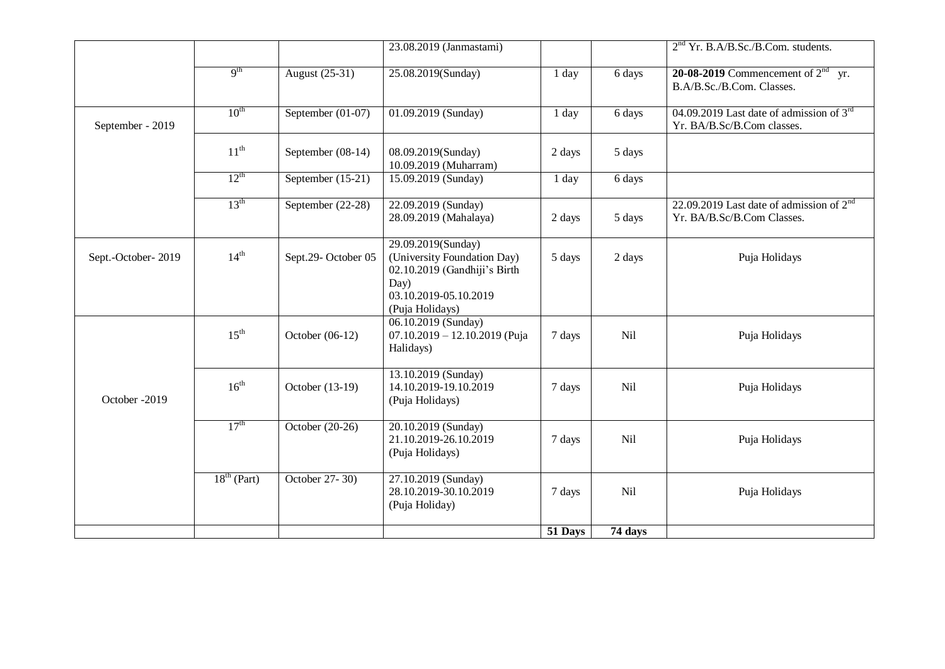|                    |                  |                     | 23.08.2019 (Janmastami)                                                                                                               |         |         | 2 <sup>nd</sup> Yr. B.A/B.Sc./B.Com. students.                              |
|--------------------|------------------|---------------------|---------------------------------------------------------------------------------------------------------------------------------------|---------|---------|-----------------------------------------------------------------------------|
|                    | 9 <sup>th</sup>  | August (25-31)      | 25.08.2019(Sunday)                                                                                                                    | 1 day   | 6 days  | 20-08-2019 Commencement of $2nd$ yr.<br>B.A/B.Sc./B.Com. Classes.           |
| September - 2019   | $10^{\text{th}}$ | September $(01-07)$ | 01.09.2019 (Sunday)                                                                                                                   | 1 day   | 6 days  | 04.09.2019 Last date of admission of $3rd$<br>Yr. BA/B.Sc/B.Com classes.    |
|                    | $11^{\text{th}}$ | September (08-14)   | 08.09.2019(Sunday)<br>10.09.2019 (Muharram)                                                                                           | 2 days  | 5 days  |                                                                             |
|                    | $12^{\text{th}}$ | September (15-21)   | 15.09.2019 (Sunday)                                                                                                                   | 1 day   | 6 days  |                                                                             |
|                    | $13^{\text{th}}$ | September (22-28)   | 22.09.2019 (Sunday)<br>28.09.2019 (Mahalaya)                                                                                          | 2 days  | 5 days  | 22.09.2019 Last date of admission of $2^{nd}$<br>Yr. BA/B.Sc/B.Com Classes. |
| Sept.-October-2019 | $14^{th}$        | Sept.29-October 05  | 29.09.2019(Sunday)<br>(University Foundation Day)<br>02.10.2019 (Gandhiji's Birth<br>Day)<br>03.10.2019-05.10.2019<br>(Puja Holidays) | 5 days  | 2 days  | Puja Holidays                                                               |
|                    | $15^{\text{th}}$ | October $(06-12)$   | 06.10.2019 (Sunday)<br>$07.10.2019 - 12.10.2019$ (Puja<br>Halidays)                                                                   | 7 days  | Nil     | Puja Holidays                                                               |
| October -2019      | $16^{\text{th}}$ | October (13-19)     | 13.10.2019 (Sunday)<br>14.10.2019-19.10.2019<br>(Puja Holidays)                                                                       | 7 days  | Nil     | Puja Holidays                                                               |
|                    | $17^{\text{th}}$ | October (20-26)     | 20.10.2019 (Sunday)<br>21.10.2019-26.10.2019<br>(Puja Holidays)                                                                       | 7 days  | Nil     | Puja Holidays                                                               |
|                    | $18th$ (Part)    | October 27-30)      | 27.10.2019 (Sunday)<br>28.10.2019-30.10.2019<br>(Puja Holiday)                                                                        | 7 days  | Nil     | Puja Holidays                                                               |
|                    |                  |                     |                                                                                                                                       | 51 Days | 74 days |                                                                             |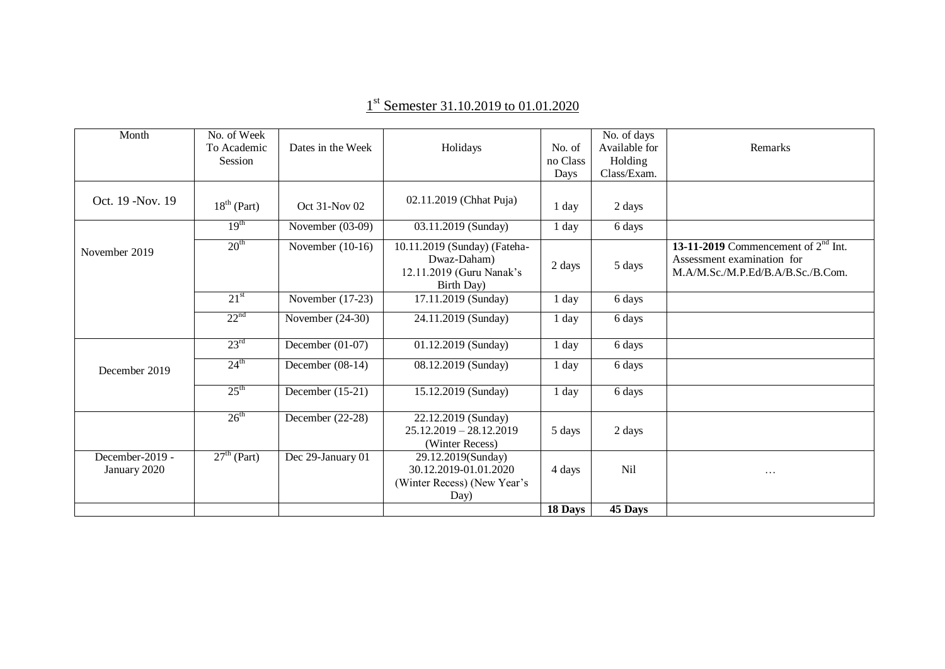| Month                           | No. of Week<br>To Academic<br><b>Session</b> | Dates in the Week  | Holidays                                                                              | No. of<br>no Class<br>Days | No. of days<br>Available for<br>Holding<br>Class/Exam. | Remarks                                                                                                  |
|---------------------------------|----------------------------------------------|--------------------|---------------------------------------------------------------------------------------|----------------------------|--------------------------------------------------------|----------------------------------------------------------------------------------------------------------|
| Oct. 19 - Nov. 19               | $18th$ (Part)                                | Oct 31-Nov 02      | 02.11.2019 (Chhat Puja)                                                               | l day                      | 2 days                                                 |                                                                                                          |
|                                 | 19 <sup>th</sup>                             | November (03-09)   | 03.11.2019 (Sunday)                                                                   | 1 day                      | 6 days                                                 |                                                                                                          |
| November 2019                   | 20 <sup>th</sup>                             | November $(10-16)$ | 10.11.2019 (Sunday) (Fateha-<br>Dwaz-Daham)<br>12.11.2019 (Guru Nanak's<br>Birth Day) | 2 days                     | 5 days                                                 | 13-11-2019 Commencement of $2nd$ Int.<br>Assessment examination for<br>M.A/M.Sc./M.P.Ed/B.A/B.Sc./B.Com. |
|                                 | 21 <sup>st</sup>                             | November $(17-23)$ | 17.11.2019 (Sunday)                                                                   | l day                      | 6 days                                                 |                                                                                                          |
|                                 | 22 <sup>nd</sup>                             | November (24-30)   | 24.11.2019 (Sunday)                                                                   | 1 day                      | 6 days                                                 |                                                                                                          |
|                                 | $23^{\text{rd}}$                             | December $(01-07)$ | 01.12.2019 (Sunday)                                                                   | 1 day                      | 6 days                                                 |                                                                                                          |
| December 2019                   | $24^{\text{th}}$                             | December $(08-14)$ | 08.12.2019 (Sunday)                                                                   | 1 day                      | 6 days                                                 |                                                                                                          |
|                                 | $25^{\text{th}}$                             | December $(15-21)$ | 15.12.2019 (Sunday)                                                                   | 1 day                      | 6 days                                                 |                                                                                                          |
|                                 | $26^{\text{th}}$                             | December $(22-28)$ | 22.12.2019 (Sunday)<br>$25.12.2019 - 28.12.2019$<br>(Winter Recess)                   | 5 days                     | 2 days                                                 |                                                                                                          |
| December-2019 -<br>January 2020 | $27th$ (Part)                                | Dec 29-January 01  | 29.12.2019(Sunday)<br>30.12.2019-01.01.2020<br>(Winter Recess) (New Year's<br>Day)    | 4 days                     | Nil                                                    | $\cdots$                                                                                                 |
|                                 |                                              |                    |                                                                                       | 18 Days                    | 45 Days                                                |                                                                                                          |

## 1<sup>st</sup> Semester 31.10.2019 to 01.01.2020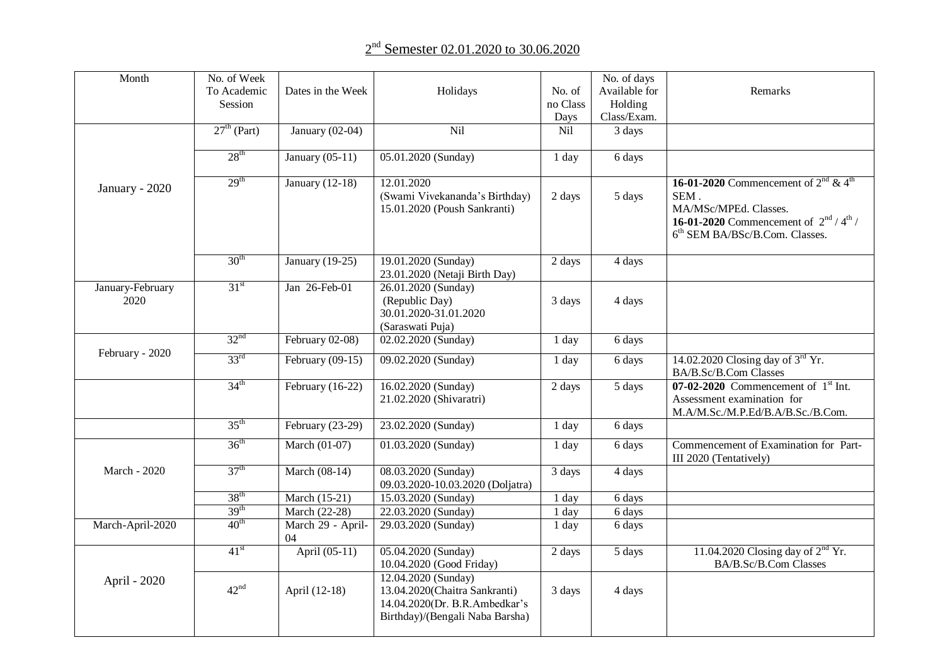## 2<sup>nd</sup> Semester 02.01.2020 to 30.06.2020

| Month                    | No. of Week      |                         |                                                                                                                          |                     | No. of days         |                                                                                                                                                                                     |
|--------------------------|------------------|-------------------------|--------------------------------------------------------------------------------------------------------------------------|---------------------|---------------------|-------------------------------------------------------------------------------------------------------------------------------------------------------------------------------------|
|                          | To Academic      | Dates in the Week       | Holidays                                                                                                                 | No. of              | Available for       | Remarks                                                                                                                                                                             |
|                          | Session          |                         |                                                                                                                          | no Class            | Holding             |                                                                                                                                                                                     |
|                          |                  |                         |                                                                                                                          | Days                | Class/Exam.         |                                                                                                                                                                                     |
|                          | $27th$ (Part)    | January $(02-04)$       | Nil                                                                                                                      | Nil                 | 3 days              |                                                                                                                                                                                     |
|                          | $28^{\text{th}}$ | January $(05-11)$       | 05.01.2020 (Sunday)                                                                                                      | 1 day               | 6 days              |                                                                                                                                                                                     |
| January - 2020           | 29 <sup>th</sup> | January $(12-18)$       | 12.01.2020<br>(Swami Vivekananda's Birthday)<br>15.01.2020 (Poush Sankranti)                                             | 2 days              | 5 days              | 16-01-2020 Commencement of $2^{nd}$ & 4 <sup>th</sup><br>SEM.<br>MA/MSc/MPEd. Classes.<br><b>16-01-2020</b> Commencement of $2^{nd} / 4^{th} /$<br>$6th$ SEM BA/BSc/B.Com. Classes. |
|                          | $30^{\text{th}}$ | January (19-25)         | 19.01.2020 (Sunday)<br>23.01.2020 (Netaji Birth Day)                                                                     | $\overline{2}$ days | 4 days              |                                                                                                                                                                                     |
| January-February<br>2020 | 31 <sup>st</sup> | Jan 26-Feb-01           | 26.01.2020 (Sunday)<br>(Republic Day)<br>30.01.2020-31.01.2020<br>(Saraswati Puja)                                       | 3 days              | 4 days              |                                                                                                                                                                                     |
|                          | 32 <sup>nd</sup> | February 02-08)         | 02.02.2020 (Sunday)                                                                                                      | 1 day               | 6 days              |                                                                                                                                                                                     |
| February - 2020          | $33^{\text{rd}}$ | February $(09-15)$      | 09.02.2020 (Sunday)                                                                                                      | 1 day               | 6 days              | 14.02.2020 Closing day of $3rd$ Yr.<br>BA/B.Sc/B.Com Classes                                                                                                                        |
|                          | $34^{\text{th}}$ | February (16-22)        | 16.02.2020 (Sunday)<br>21.02.2020 (Shivaratri)                                                                           | 2 days              | 5 days              | $07 - 02 - 2020$ Commencement of $1st$ Int.<br>Assessment examination for<br>M.A/M.Sc./M.P.Ed/B.A/B.Sc./B.Com.                                                                      |
|                          | $35^{\text{th}}$ | February (23-29)        | 23.02.2020 (Sunday)                                                                                                      | 1 day               | 6 days              |                                                                                                                                                                                     |
|                          | $36^{\text{th}}$ | March (01-07)           | 01.03.2020 (Sunday)                                                                                                      | 1 day               | 6 days              | Commencement of Examination for Part-<br>III 2020 (Tentatively)                                                                                                                     |
| March - 2020             | 37 <sup>th</sup> | March (08-14)           | 08.03.2020 (Sunday)<br>09.03.2020-10.03.2020 (Doljatra)                                                                  | 3 days              | 4 days              |                                                                                                                                                                                     |
|                          | 38 <sup>th</sup> | March (15-21)           | 15.03.2020 (Sunday)                                                                                                      | 1 day               | $\overline{6}$ days |                                                                                                                                                                                     |
|                          | 39 <sup>th</sup> | March (22-28)           | 22.03.2020 (Sunday)                                                                                                      | 1 day               | 6 days              |                                                                                                                                                                                     |
| March-April-2020         | 40 <sup>th</sup> | March 29 - April-<br>04 | 29.03.2020 (Sunday)                                                                                                      | 1 day               | 6 days              |                                                                                                                                                                                     |
|                          | 41 <sup>st</sup> | April (05-11)           | 05.04.2020 (Sunday)<br>10.04.2020 (Good Friday)                                                                          | 2 days              | 5 days              | 11.04.2020 Closing day of $2nd$ Yr.<br>BA/B.Sc/B.Com Classes                                                                                                                        |
| April - 2020             | $42^{\text{nd}}$ | April (12-18)           | 12.04.2020 (Sunday)<br>13.04.2020(Chaitra Sankranti)<br>14.04.2020(Dr. B.R.Ambedkar's<br>Birthday)/(Bengali Naba Barsha) | 3 days              | 4 days              |                                                                                                                                                                                     |